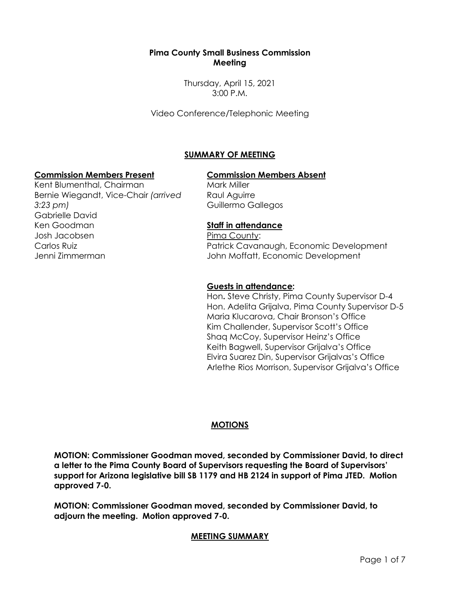#### **Pima County Small Business Commission Meeting**

Thursday, April 15, 2021 3:00 P.M.

Video Conference/Telephonic Meeting

# **SUMMARY OF MEETING**

#### **Commission Members Present Commission Members Absent**

Kent Blumenthal, Chairman Bernie Wiegandt, Vice-Chair *(arrived 3:23 pm)* Gabrielle David Ken Goodman Josh Jacobsen Carlos Ruiz Jenni Zimmerman

Mark Miller Raul Aguirre Guillermo Gallegos

## **Staff in attendance**

Pima County: Patrick Cavanaugh, Economic Development John Moffatt, Economic Development

#### **Guests in attendance:**

Hon**.** Steve Christy, Pima County Supervisor D-4 Hon. Adelita Grijalva, Pima County Supervisor D-5 Maria Klucarova, Chair Bronson's Office Kim Challender, Supervisor Scott's Office Shaq McCoy, Supervisor Heinz's Office Keith Bagwell, Supervisor Grijalva's Office Elvira Suarez Din, Supervisor Grijalvas's Office Arlethe Rios Morrison, Supervisor Grijalva's Office

## **MOTIONS**

**MOTION: Commissioner Goodman moved, seconded by Commissioner David, to direct a letter to the Pima County Board of Supervisors requesting the Board of Supervisors' support for Arizona legislative bill SB 1179 and HB 2124 in support of Pima JTED. Motion approved 7-0.**

**MOTION: Commissioner Goodman moved, seconded by Commissioner David, to adjourn the meeting. Motion approved 7-0.**

## **MEETING SUMMARY**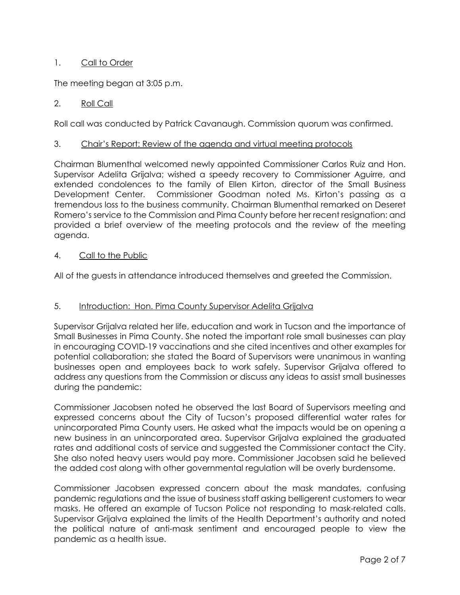## 1. Call to Order

The meeting began at 3:05 p.m.

### 2. Roll Call

Roll call was conducted by Patrick Cavanaugh. Commission quorum was confirmed.

#### 3. Chair's Report: Review of the agenda and virtual meeting protocols

Chairman Blumenthal welcomed newly appointed Commissioner Carlos Ruiz and Hon. Supervisor Adelita Grijalva; wished a speedy recovery to Commissioner Aguirre, and extended condolences to the family of Ellen Kirton, director of the Small Business Development Center. Commissioner Goodman noted Ms. Kirton's passing as a tremendous loss to the business community. Chairman Blumenthal remarked on Deseret Romero's service to the Commission and Pima County before her recent resignation: and provided a brief overview of the meeting protocols and the review of the meeting agenda.

#### 4. Call to the Public

All of the guests in attendance introduced themselves and greeted the Commission.

#### 5. Introduction: Hon. Pima County Supervisor Adelita Grijalva

Supervisor Grijalva related her life, education and work in Tucson and the importance of Small Businesses in Pima County. She noted the important role small businesses can play in encouraging COVID-19 vaccinations and she cited incentives and other examples for potential collaboration; she stated the Board of Supervisors were unanimous in wanting businesses open and employees back to work safely. Supervisor Grijalva offered to address any questions from the Commission or discuss any ideas to assist small businesses during the pandemic:

Commissioner Jacobsen noted he observed the last Board of Supervisors meeting and expressed concerns about the City of Tucson's proposed differential water rates for unincorporated Pima County users. He asked what the impacts would be on opening a new business in an unincorporated area. Supervisor Grijalva explained the graduated rates and additional costs of service and suggested the Commissioner contact the City. She also noted heavy users would pay more. Commissioner Jacobsen said he believed the added cost along with other governmental regulation will be overly burdensome.

Commissioner Jacobsen expressed concern about the mask mandates, confusing pandemic regulations and the issue of business staff asking belligerent customers to wear masks. He offered an example of Tucson Police not responding to mask-related calls. Supervisor Grijalva explained the limits of the Health Department's authority and noted the political nature of anti-mask sentiment and encouraged people to view the pandemic as a health issue.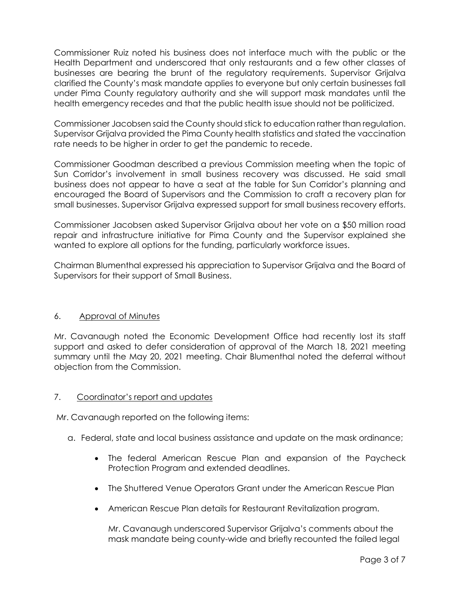Commissioner Ruiz noted his business does not interface much with the public or the Health Department and underscored that only restaurants and a few other classes of businesses are bearing the brunt of the regulatory requirements. Supervisor Grijalva clarified the County's mask mandate applies to everyone but only certain businesses fall under Pima County regulatory authority and she will support mask mandates until the health emergency recedes and that the public health issue should not be politicized.

Commissioner Jacobsen said the County should stick to education rather than regulation. Supervisor Grijalva provided the Pima County health statistics and stated the vaccination rate needs to be higher in order to get the pandemic to recede.

Commissioner Goodman described a previous Commission meeting when the topic of Sun Corridor's involvement in small business recovery was discussed. He said small business does not appear to have a seat at the table for Sun Corridor's planning and encouraged the Board of Supervisors and the Commission to craft a recovery plan for small businesses. Supervisor Grijalva expressed support for small business recovery efforts.

Commissioner Jacobsen asked Supervisor Grijalva about her vote on a \$50 million road repair and infrastructure initiative for Pima County and the Supervisor explained she wanted to explore all options for the funding, particularly workforce issues.

Chairman Blumenthal expressed his appreciation to Supervisor Grijalva and the Board of Supervisors for their support of Small Business.

## 6. Approval of Minutes

Mr. Cavanaugh noted the Economic Development Office had recently lost its staff support and asked to defer consideration of approval of the March 18, 2021 meeting summary until the May 20, 2021 meeting. Chair Blumenthal noted the deferral without objection from the Commission.

#### 7. Coordinator's report and updates

Mr. Cavanaugh reported on the following items:

- a. Federal, state and local business assistance and update on the mask ordinance;
	- The federal American Rescue Plan and expansion of the Paycheck Protection Program and extended deadlines.
	- The Shuttered Venue Operators Grant under the American Rescue Plan
	- American Rescue Plan details for Restaurant Revitalization program.

Mr. Cavanaugh underscored Supervisor Grijalva's comments about the mask mandate being county-wide and briefly recounted the failed legal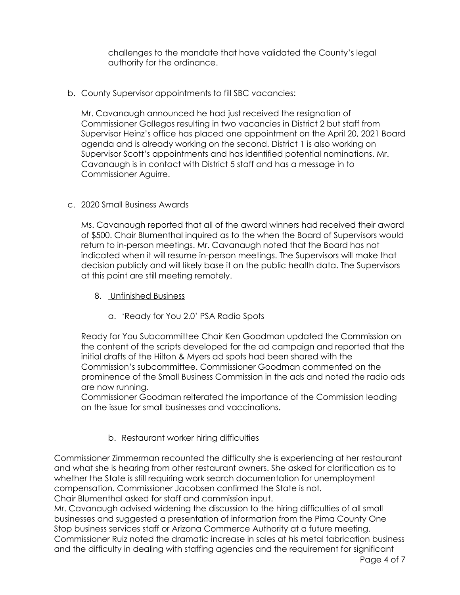challenges to the mandate that have validated the County's legal authority for the ordinance.

b. County Supervisor appointments to fill SBC vacancies:

Mr. Cavanaugh announced he had just received the resignation of Commissioner Gallegos resulting in two vacancies in District 2 but staff from Supervisor Heinz's office has placed one appointment on the April 20, 2021 Board agenda and is already working on the second. District 1 is also working on Supervisor Scott's appointments and has identified potential nominations. Mr. Cavanaugh is in contact with District 5 staff and has a message in to Commissioner Aguirre.

#### c. 2020 Small Business Awards

Ms. Cavanaugh reported that all of the award winners had received their award of \$500. Chair Blumenthal inquired as to the when the Board of Supervisors would return to in-person meetings. Mr. Cavanaugh noted that the Board has not indicated when it will resume in-person meetings. The Supervisors will make that decision publicly and will likely base it on the public health data. The Supervisors at this point are still meeting remotely.

- 8. Unfinished Business
	- a. 'Ready for You 2.0' PSA Radio Spots

Ready for You Subcommittee Chair Ken Goodman updated the Commission on the content of the scripts developed for the ad campaign and reported that the initial drafts of the Hilton & Myers ad spots had been shared with the Commission's subcommittee. Commissioner Goodman commented on the prominence of the Small Business Commission in the ads and noted the radio ads are now running.

Commissioner Goodman reiterated the importance of the Commission leading on the issue for small businesses and vaccinations.

## b. Restaurant worker hiring difficulties

Commissioner Zimmerman recounted the difficulty she is experiencing at her restaurant and what she is hearing from other restaurant owners. She asked for clarification as to whether the State is still requiring work search documentation for unemployment compensation. Commissioner Jacobsen confirmed the State is not. Chair Blumenthal asked for staff and commission input.

Mr. Cavanaugh advised widening the discussion to the hiring difficulties of all small businesses and suggested a presentation of information from the Pima County One Stop business services staff or Arizona Commerce Authority at a future meeting. Commissioner Ruiz noted the dramatic increase in sales at his metal fabrication business and the difficulty in dealing with staffing agencies and the requirement for significant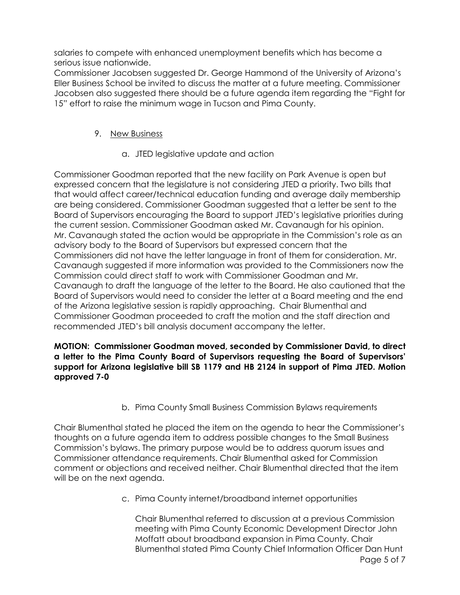salaries to compete with enhanced unemployment benefits which has become a serious issue nationwide.

Commissioner Jacobsen suggested Dr. George Hammond of the University of Arizona's Eller Business School be invited to discuss the matter at a future meeting. Commissioner Jacobsen also suggested there should be a future agenda item regarding the "Fight for 15" effort to raise the minimum wage in Tucson and Pima County.

# 9. New Business

a. JTED legislative update and action

Commissioner Goodman reported that the new facility on Park Avenue is open but expressed concern that the legislature is not considering JTED a priority. Two bills that that would affect career/technical education funding and average daily membership are being considered. Commissioner Goodman suggested that a letter be sent to the Board of Supervisors encouraging the Board to support JTED's legislative priorities during the current session. Commissioner Goodman asked Mr. Cavanaugh for his opinion. Mr. Cavanaugh stated the action would be appropriate in the Commission's role as an advisory body to the Board of Supervisors but expressed concern that the Commissioners did not have the letter language in front of them for consideration. Mr. Cavanaugh suggested if more information was provided to the Commissioners now the Commission could direct staff to work with Commissioner Goodman and Mr. Cavanaugh to draft the language of the letter to the Board. He also cautioned that the Board of Supervisors would need to consider the letter at a Board meeting and the end of the Arizona legislative session is rapidly approaching. Chair Blumenthal and Commissioner Goodman proceeded to craft the motion and the staff direction and recommended JTED's bill analysis document accompany the letter.

### **MOTION: Commissioner Goodman moved, seconded by Commissioner David, to direct a letter to the Pima County Board of Supervisors requesting the Board of Supervisors' support for Arizona legislative bill SB 1179 and HB 2124 in support of Pima JTED. Motion approved 7-0**

b. Pima County Small Business Commission Bylaws requirements

Chair Blumenthal stated he placed the item on the agenda to hear the Commissioner's thoughts on a future agenda item to address possible changes to the Small Business Commission's bylaws. The primary purpose would be to address quorum issues and Commissioner attendance requirements. Chair Blumenthal asked for Commission comment or objections and received neither. Chair Blumenthal directed that the item will be on the next agenda.

c. Pima County internet/broadband internet opportunities

Page 5 of 7 Chair Blumenthal referred to discussion at a previous Commission meeting with Pima County Economic Development Director John Moffatt about broadband expansion in Pima County. Chair Blumenthal stated Pima County Chief Information Officer Dan Hunt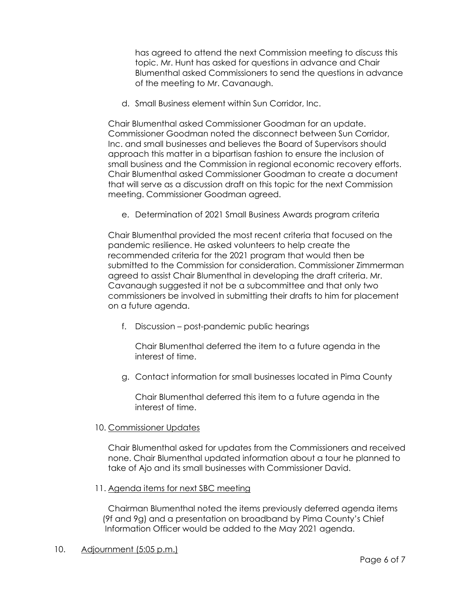has agreed to attend the next Commission meeting to discuss this topic. Mr. Hunt has asked for questions in advance and Chair Blumenthal asked Commissioners to send the questions in advance of the meeting to Mr. Cavanaugh.

d. Small Business element within Sun Corridor, Inc.

Chair Blumenthal asked Commissioner Goodman for an update. Commissioner Goodman noted the disconnect between Sun Corridor, Inc. and small businesses and believes the Board of Supervisors should approach this matter in a bipartisan fashion to ensure the inclusion of small business and the Commission in regional economic recovery efforts. Chair Blumenthal asked Commissioner Goodman to create a document that will serve as a discussion draft on this topic for the next Commission meeting. Commissioner Goodman agreed.

e. Determination of 2021 Small Business Awards program criteria

Chair Blumenthal provided the most recent criteria that focused on the pandemic resilience. He asked volunteers to help create the recommended criteria for the 2021 program that would then be submitted to the Commission for consideration. Commissioner Zimmerman agreed to assist Chair Blumenthal in developing the draft criteria. Mr. Cavanaugh suggested it not be a subcommittee and that only two commissioners be involved in submitting their drafts to him for placement on a future agenda.

f. Discussion – post-pandemic public hearings

Chair Blumenthal deferred the item to a future agenda in the interest of time.

g. Contact information for small businesses located in Pima County

Chair Blumenthal deferred this item to a future agenda in the interest of time.

#### 10. Commissioner Updates

Chair Blumenthal asked for updates from the Commissioners and received none. Chair Blumenthal updated information about a tour he planned to take of Ajo and its small businesses with Commissioner David.

#### 11. Agenda items for next SBC meeting

 Chairman Blumenthal noted the items previously deferred agenda items (9f and 9g) and a presentation on broadband by Pima County's Chief Information Officer would be added to the May 2021 agenda.